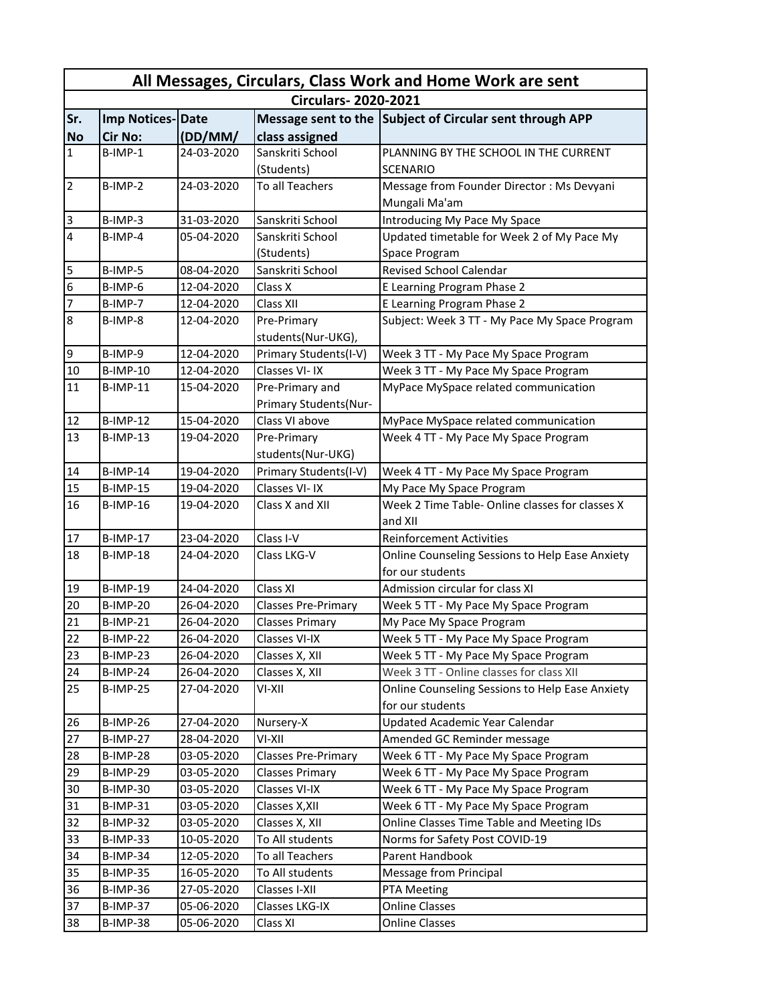| All Messages, Circulars, Class Work and Home Work are sent |                            |            |                            |                                                                     |  |  |  |
|------------------------------------------------------------|----------------------------|------------|----------------------------|---------------------------------------------------------------------|--|--|--|
|                                                            | <b>Circulars-2020-2021</b> |            |                            |                                                                     |  |  |  |
| Sr.                                                        | Imp Notices-Date           |            |                            | Message sent to the Subject of Circular sent through APP            |  |  |  |
| <b>No</b>                                                  | <b>Cir No:</b>             | (DD/MM)    | class assigned             |                                                                     |  |  |  |
| $\mathbf{1}$                                               | B-IMP-1                    | 24-03-2020 | Sanskriti School           | PLANNING BY THE SCHOOL IN THE CURRENT                               |  |  |  |
|                                                            |                            |            | (Students)                 | SCENARIO                                                            |  |  |  |
| $\overline{2}$                                             | B-IMP-2                    | 24-03-2020 | To all Teachers            | Message from Founder Director: Ms Devyani                           |  |  |  |
|                                                            |                            |            |                            | Mungali Ma'am                                                       |  |  |  |
| 3                                                          | B-IMP-3                    | 31-03-2020 | Sanskriti School           | Introducing My Pace My Space                                        |  |  |  |
| $\overline{4}$                                             | $B$ -IMP-4                 | 05-04-2020 | Sanskriti School           | Updated timetable for Week 2 of My Pace My                          |  |  |  |
|                                                            |                            |            | (Students)                 | Space Program                                                       |  |  |  |
| 5                                                          | B-IMP-5                    | 08-04-2020 | Sanskriti School           | <b>Revised School Calendar</b>                                      |  |  |  |
| $6\phantom{.}6$                                            | B-IMP-6                    | 12-04-2020 | Class X                    | E Learning Program Phase 2                                          |  |  |  |
| $\overline{7}$                                             | B-IMP-7                    | 12-04-2020 | Class XII                  | E Learning Program Phase 2                                          |  |  |  |
| $\overline{8}$                                             | B-IMP-8                    | 12-04-2020 | Pre-Primary                | Subject: Week 3 TT - My Pace My Space Program                       |  |  |  |
|                                                            |                            |            | students(Nur-UKG),         |                                                                     |  |  |  |
| 9                                                          | B-IMP-9                    | 12-04-2020 | Primary Students(I-V)      | Week 3 TT - My Pace My Space Program                                |  |  |  |
| 10                                                         | <b>B-IMP-10</b>            | 12-04-2020 | Classes VI-IX              | Week 3 TT - My Pace My Space Program                                |  |  |  |
| 11                                                         | $B$ -IMP-11                | 15-04-2020 | Pre-Primary and            | MyPace MySpace related communication                                |  |  |  |
|                                                            |                            |            | Primary Students(Nur-      |                                                                     |  |  |  |
| 12                                                         | <b>B-IMP-12</b>            | 15-04-2020 | Class VI above             | MyPace MySpace related communication                                |  |  |  |
| 13                                                         | $B$ -IMP-13                | 19-04-2020 | Pre-Primary                | Week 4 TT - My Pace My Space Program                                |  |  |  |
|                                                            |                            |            | students(Nur-UKG)          |                                                                     |  |  |  |
| 14                                                         | <b>B-IMP-14</b>            | 19-04-2020 | Primary Students(I-V)      | Week 4 TT - My Pace My Space Program                                |  |  |  |
| 15                                                         | <b>B-IMP-15</b>            | 19-04-2020 | Classes VI-IX              | My Pace My Space Program                                            |  |  |  |
| 16                                                         | <b>B-IMP-16</b>            | 19-04-2020 | Class X and XII            | Week 2 Time Table- Online classes for classes X                     |  |  |  |
|                                                            |                            |            |                            | and XII                                                             |  |  |  |
| 17                                                         | <b>B-IMP-17</b>            | 23-04-2020 | Class I-V                  | <b>Reinforcement Activities</b>                                     |  |  |  |
| 18                                                         | <b>B-IMP-18</b>            | 24-04-2020 | Class LKG-V                | Online Counseling Sessions to Help Ease Anxiety<br>for our students |  |  |  |
| 19                                                         | <b>B-IMP-19</b>            | 24-04-2020 | Class XI                   | Admission circular for class XI                                     |  |  |  |
| 20                                                         | B-IMP-20                   | 26-04-2020 | <b>Classes Pre-Primary</b> | Week 5 TT - My Pace My Space Program                                |  |  |  |
| 21                                                         | <b>B-IMP-21</b>            | 26-04-2020 | <b>Classes Primary</b>     | My Pace My Space Program                                            |  |  |  |
| 22                                                         | <b>B-IMP-22</b>            | 26-04-2020 | Classes VI-IX              | Week 5 TT - My Pace My Space Program                                |  |  |  |
| 23                                                         | B-IMP-23                   | 26-04-2020 | Classes X, XII             | Week 5 TT - My Pace My Space Program                                |  |  |  |
| 24                                                         | <b>B-IMP-24</b>            | 26-04-2020 | Classes X, XII             | Week 3 TT - Online classes for class XII                            |  |  |  |
| 25                                                         | <b>B-IMP-25</b>            | 27-04-2020 | VI-XII                     | Online Counseling Sessions to Help Ease Anxiety                     |  |  |  |
|                                                            |                            |            |                            | for our students                                                    |  |  |  |
| 26                                                         | B-IMP-26                   | 27-04-2020 | Nursery-X                  | <b>Updated Academic Year Calendar</b>                               |  |  |  |
| 27                                                         | <b>B-IMP-27</b>            | 28-04-2020 | VI-XII                     | Amended GC Reminder message                                         |  |  |  |
| 28                                                         | B-IMP-28                   | 03-05-2020 | <b>Classes Pre-Primary</b> | Week 6 TT - My Pace My Space Program                                |  |  |  |
| 29                                                         | B-IMP-29                   | 03-05-2020 | <b>Classes Primary</b>     | Week 6 TT - My Pace My Space Program                                |  |  |  |
| 30                                                         | B-IMP-30                   | 03-05-2020 | Classes VI-IX              | Week 6 TT - My Pace My Space Program                                |  |  |  |
| 31                                                         | <b>B-IMP-31</b>            | 03-05-2020 | Classes X, XII             | Week 6 TT - My Pace My Space Program                                |  |  |  |
| 32                                                         | B-IMP-32                   | 03-05-2020 | Classes X, XII             | Online Classes Time Table and Meeting IDs                           |  |  |  |
| 33                                                         | B-IMP-33                   | 10-05-2020 | To All students            | Norms for Safety Post COVID-19                                      |  |  |  |
| 34                                                         | B-IMP-34                   | 12-05-2020 | To all Teachers            | Parent Handbook                                                     |  |  |  |
| 35                                                         | <b>B-IMP-35</b>            | 16-05-2020 | To All students            | Message from Principal                                              |  |  |  |
| 36                                                         | B-IMP-36                   | 27-05-2020 | Classes I-XII              | PTA Meeting                                                         |  |  |  |
| 37                                                         | <b>B-IMP-37</b>            | 05-06-2020 | Classes LKG-IX             | <b>Online Classes</b>                                               |  |  |  |
| 38                                                         | B-IMP-38                   | 05-06-2020 | Class XI                   | <b>Online Classes</b>                                               |  |  |  |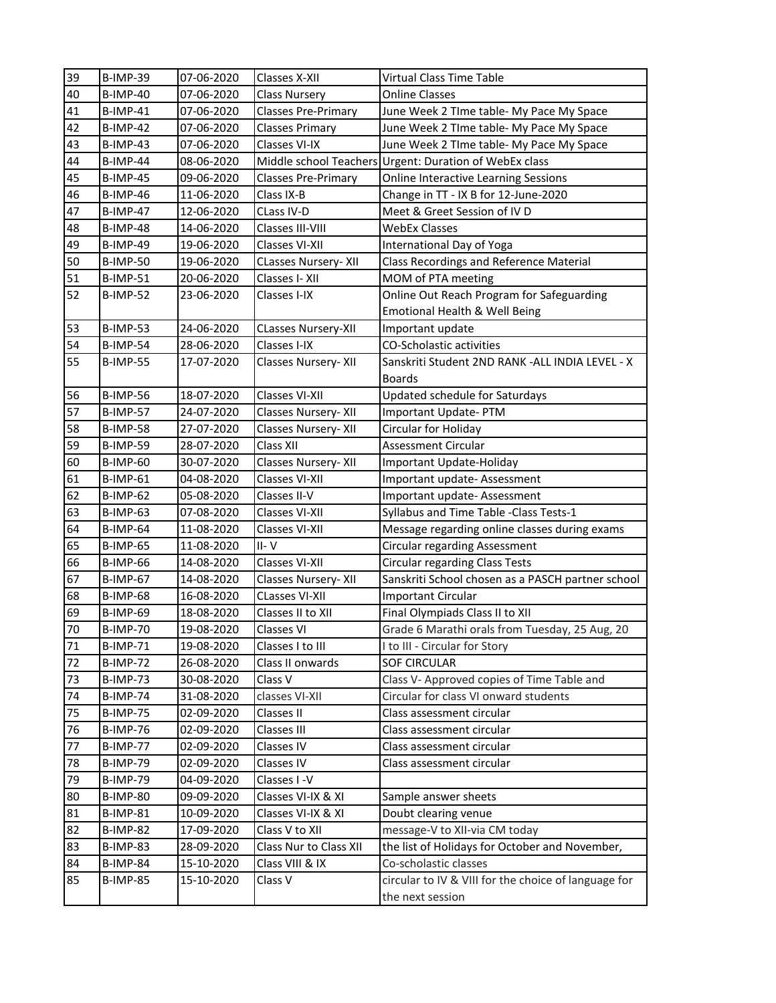| 39 | <b>B-IMP-39</b> | 07-06-2020 | Classes X-XII               | Virtual Class Time Table                                                 |
|----|-----------------|------------|-----------------------------|--------------------------------------------------------------------------|
| 40 | <b>B-IMP-40</b> | 07-06-2020 | <b>Class Nursery</b>        | <b>Online Classes</b>                                                    |
| 41 | <b>B-IMP-41</b> | 07-06-2020 | <b>Classes Pre-Primary</b>  | June Week 2 TIme table- My Pace My Space                                 |
| 42 | <b>B-IMP-42</b> | 07-06-2020 | <b>Classes Primary</b>      | June Week 2 TIme table- My Pace My Space                                 |
| 43 | <b>B-IMP-43</b> | 07-06-2020 | Classes VI-IX               | June Week 2 TIme table- My Pace My Space                                 |
| 44 | <b>B-IMP-44</b> | 08-06-2020 | Middle school Teachers      | <b>Urgent: Duration of WebEx class</b>                                   |
| 45 | <b>B-IMP-45</b> | 09-06-2020 | <b>Classes Pre-Primary</b>  | Online Interactive Learning Sessions                                     |
| 46 | <b>B-IMP-46</b> | 11-06-2020 | Class IX-B                  | Change in TT - IX B for 12-June-2020                                     |
| 47 | <b>B-IMP-47</b> | 12-06-2020 | CLass IV-D                  | Meet & Greet Session of IV D                                             |
| 48 | B-IMP-48        | 14-06-2020 | Classes III-VIII            | <b>WebEx Classes</b>                                                     |
| 49 | <b>B-IMP-49</b> | 19-06-2020 | Classes VI-XII              | International Day of Yoga                                                |
| 50 | <b>B-IMP-50</b> | 19-06-2020 | <b>CLasses Nursery- XII</b> | Class Recordings and Reference Material                                  |
| 51 | <b>B-IMP-51</b> | 20-06-2020 | Classes I-XII               | MOM of PTA meeting                                                       |
| 52 | <b>B-IMP-52</b> | 23-06-2020 | Classes I-IX                | Online Out Reach Program for Safeguarding                                |
|    |                 |            |                             | Emotional Health & Well Being                                            |
| 53 | <b>B-IMP-53</b> | 24-06-2020 | <b>CLasses Nursery-XII</b>  | Important update                                                         |
| 54 | <b>B-IMP-54</b> | 28-06-2020 | Classes I-IX                | <b>CO-Scholastic activities</b>                                          |
| 55 | <b>B-IMP-55</b> | 17-07-2020 | Classes Nursery- XII        | Sanskriti Student 2ND RANK -ALL INDIA LEVEL - X                          |
|    |                 |            |                             | <b>Boards</b>                                                            |
| 56 | <b>B-IMP-56</b> | 18-07-2020 | Classes VI-XII              | Updated schedule for Saturdays                                           |
| 57 | <b>B-IMP-57</b> | 24-07-2020 | Classes Nursery- XII        | Important Update-PTM                                                     |
| 58 | <b>B-IMP-58</b> | 27-07-2020 | Classes Nursery- XII        | Circular for Holiday                                                     |
| 59 | <b>B-IMP-59</b> | 28-07-2020 | Class XII                   | Assessment Circular                                                      |
| 60 | <b>B-IMP-60</b> | 30-07-2020 | Classes Nursery-XII         | Important Update-Holiday                                                 |
| 61 | <b>B-IMP-61</b> | 04-08-2020 | Classes VI-XII              | Important update- Assessment                                             |
|    |                 |            |                             |                                                                          |
| 62 | <b>B-IMP-62</b> | 05-08-2020 | Classes II-V                | Important update- Assessment                                             |
| 63 | B-IMP-63        | 07-08-2020 | Classes VI-XII              | Syllabus and Time Table - Class Tests-1                                  |
| 64 | B-IMP-64        | 11-08-2020 | Classes VI-XII              | Message regarding online classes during exams                            |
| 65 | <b>B-IMP-65</b> | 11-08-2020 | $II - V$                    | Circular regarding Assessment                                            |
| 66 | B-IMP-66        | 14-08-2020 | <b>Classes VI-XII</b>       | Circular regarding Class Tests                                           |
| 67 | <b>B-IMP-67</b> | 14-08-2020 | Classes Nursery- XII        | Sanskriti School chosen as a PASCH partner school                        |
| 68 | <b>B-IMP-68</b> | 16-08-2020 | <b>CLasses VI-XII</b>       | <b>Important Circular</b>                                                |
| 69 | <b>B-IMP-69</b> | 18-08-2020 | Classes II to XII           | Final Olympiads Class II to XII                                          |
| 70 | <b>B-IMP-70</b> | 19-08-2020 | <b>Classes VI</b>           | Grade 6 Marathi orals from Tuesday, 25 Aug, 20                           |
| 71 | <b>B-IMP-71</b> | 19-08-2020 | Classes I to III            | I to III - Circular for Story                                            |
| 72 | <b>B-IMP-72</b> | 26-08-2020 | Class II onwards            | <b>SOF CIRCULAR</b>                                                      |
| 73 | B-IMP-73        | 30-08-2020 | Class V                     | Class V- Approved copies of Time Table and                               |
| 74 | B-IMP-74        | 31-08-2020 | classes VI-XII              | Circular for class VI onward students                                    |
| 75 | <b>B-IMP-75</b> | 02-09-2020 | Classes II                  | Class assessment circular                                                |
| 76 | <b>B-IMP-76</b> | 02-09-2020 | Classes III                 | Class assessment circular                                                |
| 77 | B-IMP-77        | 02-09-2020 | Classes IV                  | Class assessment circular                                                |
| 78 | <b>B-IMP-79</b> | 02-09-2020 | Classes IV                  | Class assessment circular                                                |
| 79 | <b>B-IMP-79</b> | 04-09-2020 | Classes I-V                 |                                                                          |
| 80 | <b>B-IMP-80</b> | 09-09-2020 | Classes VI-IX & XI          | Sample answer sheets                                                     |
| 81 | <b>B-IMP-81</b> | 10-09-2020 | Classes VI-IX & XI          | Doubt clearing venue                                                     |
| 82 | B-IMP-82        | 17-09-2020 | Class V to XII              | message-V to XII-via CM today                                            |
| 83 | B-IMP-83        | 28-09-2020 | Class Nur to Class XII      | the list of Holidays for October and November,                           |
| 84 | B-IMP-84        | 15-10-2020 | Class VIII & IX             | Co-scholastic classes                                                    |
| 85 | <b>B-IMP-85</b> | 15-10-2020 | Class V                     | circular to IV & VIII for the choice of language for<br>the next session |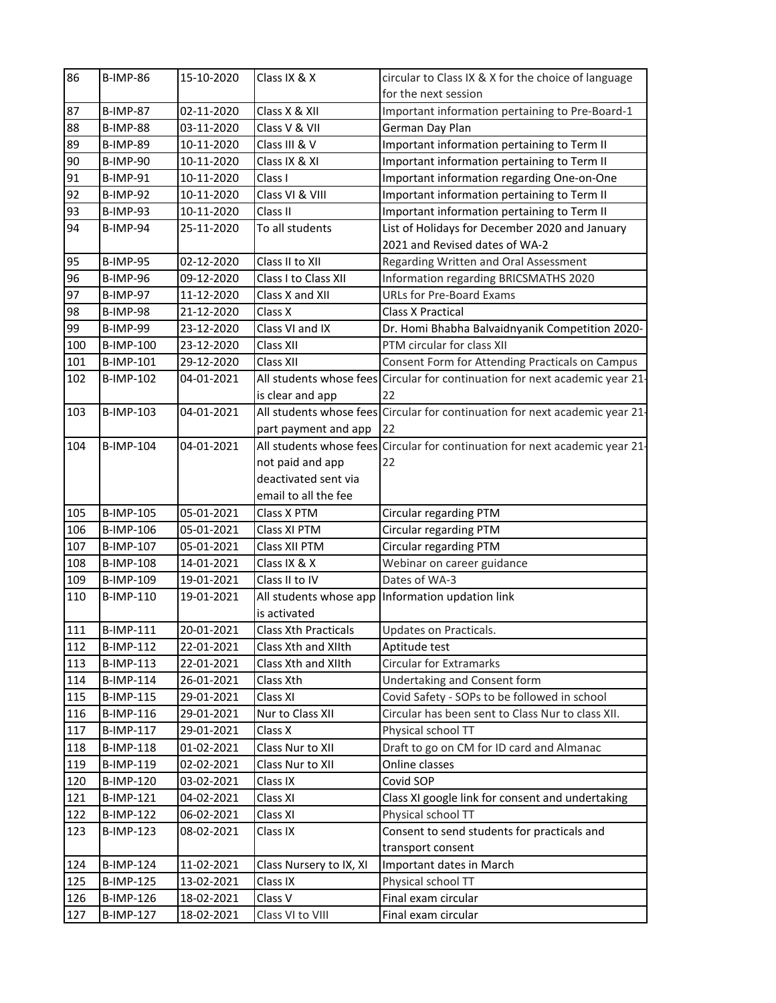| 86  | <b>B-IMP-86</b>  | 15-10-2020 | Class IX & X                | circular to Class IX & X for the choice of language                          |
|-----|------------------|------------|-----------------------------|------------------------------------------------------------------------------|
|     |                  |            |                             | for the next session                                                         |
| 87  | <b>B-IMP-87</b>  | 02-11-2020 | Class X & XII               | Important information pertaining to Pre-Board-1                              |
| 88  | <b>B-IMP-88</b>  | 03-11-2020 | Class V & VII               | German Day Plan                                                              |
| 89  | <b>B-IMP-89</b>  | 10-11-2020 | Class III & V               | Important information pertaining to Term II                                  |
| 90  | <b>B-IMP-90</b>  | 10-11-2020 | Class IX & XI               | Important information pertaining to Term II                                  |
| 91  | <b>B-IMP-91</b>  | 10-11-2020 | Class I                     | Important information regarding One-on-One                                   |
| 92  | <b>B-IMP-92</b>  | 10-11-2020 | Class VI & VIII             | Important information pertaining to Term II                                  |
| 93  | <b>B-IMP-93</b>  | 10-11-2020 | Class II                    | Important information pertaining to Term II                                  |
| 94  | <b>B-IMP-94</b>  | 25-11-2020 | To all students             | List of Holidays for December 2020 and January                               |
|     |                  |            |                             | 2021 and Revised dates of WA-2                                               |
| 95  | <b>B-IMP-95</b>  | 02-12-2020 | Class II to XII             | Regarding Written and Oral Assessment                                        |
| 96  | <b>B-IMP-96</b>  | 09-12-2020 | Class I to Class XII        | Information regarding BRICSMATHS 2020                                        |
| 97  | <b>B-IMP-97</b>  | 11-12-2020 | Class X and XII             | <b>URLs for Pre-Board Exams</b>                                              |
| 98  | <b>B-IMP-98</b>  | 21-12-2020 | Class X                     | <b>Class X Practical</b>                                                     |
| 99  | <b>B-IMP-99</b>  | 23-12-2020 | Class VI and IX             | Dr. Homi Bhabha Balvaidnyanik Competition 2020-                              |
| 100 | <b>B-IMP-100</b> | 23-12-2020 | Class XII                   | PTM circular for class XII                                                   |
| 101 | B-IMP-101        | 29-12-2020 | Class XII                   | Consent Form for Attending Practicals on Campus                              |
| 102 | B-IMP-102        | 04-01-2021 |                             | All students whose fees Circular for continuation for next academic year 21- |
|     |                  |            | is clear and app            | 22                                                                           |
| 103 | B-IMP-103        | 04-01-2021 |                             | All students whose fees Circular for continuation for next academic year 21- |
|     |                  |            | part payment and app        | 22                                                                           |
| 104 | B-IMP-104        | 04-01-2021 |                             | All students whose fees Circular for continuation for next academic year 21- |
|     |                  |            | not paid and app            | 22                                                                           |
|     |                  |            | deactivated sent via        |                                                                              |
|     |                  |            | email to all the fee        |                                                                              |
| 105 | B-IMP-105        | 05-01-2021 | Class X PTM                 | Circular regarding PTM                                                       |
| 106 | B-IMP-106        | 05-01-2021 | Class XI PTM                | Circular regarding PTM                                                       |
| 107 | B-IMP-107        | 05-01-2021 | Class XII PTM               | Circular regarding PTM                                                       |
| 108 | <b>B-IMP-108</b> | 14-01-2021 | Class IX & X                | Webinar on career guidance                                                   |
| 109 | B-IMP-109        | 19-01-2021 | Class II to IV              | Dates of WA-3                                                                |
| 110 | B-IMP-110        | 19-01-2021 | All students whose app      | Information updation link                                                    |
|     |                  |            | is activated                |                                                                              |
| 111 | <b>B-IMP-111</b> | 20-01-2021 | <b>Class Xth Practicals</b> | Updates on Practicals.                                                       |
| 112 | <b>B-IMP-112</b> | 22-01-2021 | Class Xth and XIIth         | Aptitude test                                                                |
| 113 | B-IMP-113        | 22-01-2021 | Class Xth and XIIth         | <b>Circular for Extramarks</b>                                               |
| 114 | B-IMP-114        | 26-01-2021 | Class Xth                   | Undertaking and Consent form                                                 |
| 115 | B-IMP-115        | 29-01-2021 | Class XI                    | Covid Safety - SOPs to be followed in school                                 |
| 116 | B-IMP-116        | 29-01-2021 | Nur to Class XII            | Circular has been sent to Class Nur to class XII.                            |
| 117 | B-IMP-117        | 29-01-2021 | Class X                     | Physical school TT                                                           |
| 118 | <b>B-IMP-118</b> | 01-02-2021 | Class Nur to XII            | Draft to go on CM for ID card and Almanac                                    |
| 119 | <b>B-IMP-119</b> | 02-02-2021 | Class Nur to XII            | Online classes                                                               |
| 120 | B-IMP-120        | 03-02-2021 | Class IX                    | Covid SOP                                                                    |
| 121 | B-IMP-121        | 04-02-2021 | Class XI                    | Class XI google link for consent and undertaking                             |
| 122 | <b>B-IMP-122</b> | 06-02-2021 | Class XI                    | Physical school TT                                                           |
| 123 | B-IMP-123        | 08-02-2021 | Class IX                    | Consent to send students for practicals and                                  |
|     |                  |            |                             | transport consent                                                            |
| 124 | <b>B-IMP-124</b> | 11-02-2021 | Class Nursery to IX, XI     | Important dates in March                                                     |
| 125 | <b>B-IMP-125</b> | 13-02-2021 | Class IX                    | Physical school TT                                                           |
| 126 | <b>B-IMP-126</b> | 18-02-2021 | Class V                     | Final exam circular                                                          |
| 127 | <b>B-IMP-127</b> | 18-02-2021 | Class VI to VIII            | Final exam circular                                                          |